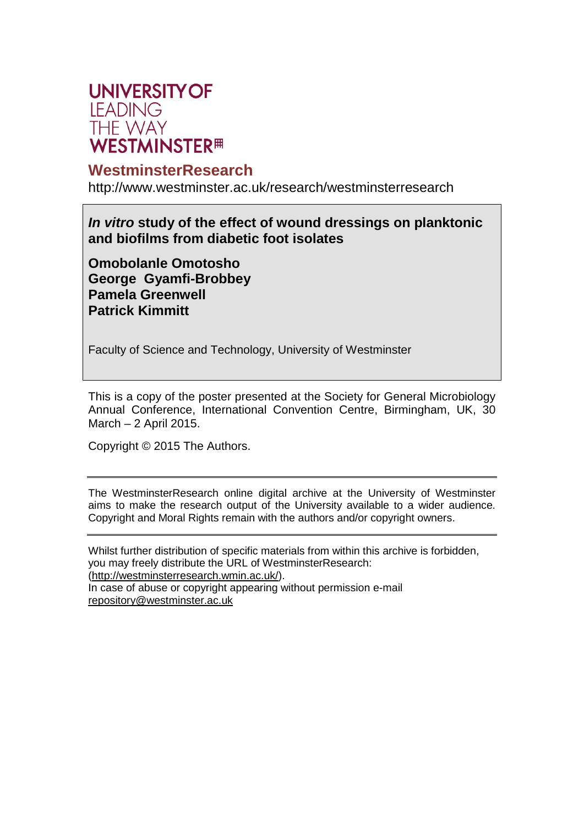

#### **WestminsterResearch**

http://www.westminster.ac.uk/research/westminsterresearch

*In vitro* **study of the effect of wound dressings on planktonic and biofilms from diabetic foot isolates**

**Omobolanle Omotosho George Gyamfi-Brobbey Pamela Greenwell Patrick Kimmitt**

Faculty of Science and Technology, University of Westminster

This is a copy of the poster presented at the Society for General Microbiology Annual Conference, International Convention Centre, Birmingham, UK, 30 March – 2 April 2015.

Copyright © 2015 The Authors.

The WestminsterResearch online digital archive at the University of Westminster aims to make the research output of the University available to a wider audience. Copyright and Moral Rights remain with the authors and/or copyright owners.

Whilst further distribution of specific materials from within this archive is forbidden, you may freely distribute the URL of WestminsterResearch: (http://westminsterresearch.wmin.ac.uk/).

In case of abuse or copyright appearing without permission e-mail repository@westminster.ac.uk